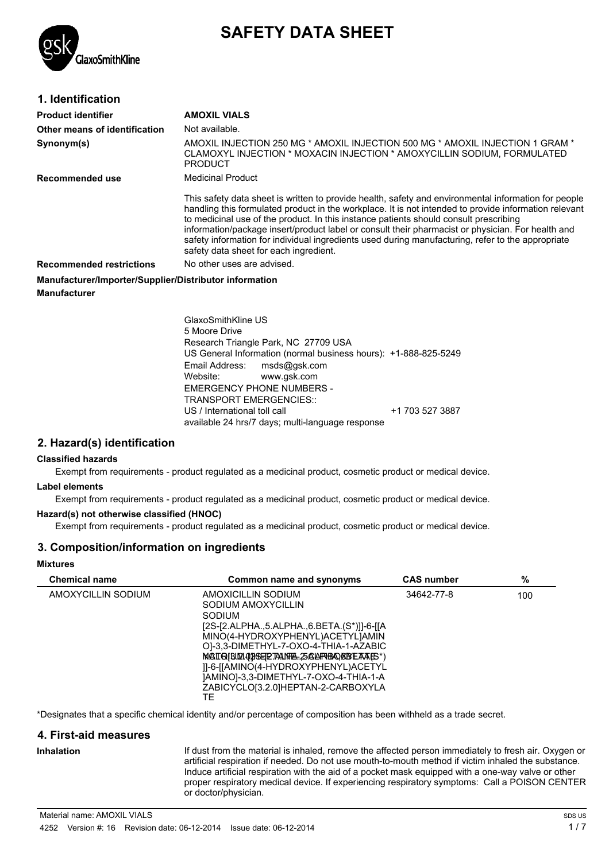

# **SAFETY DATA SHEET**

| 1. Identification                                      |                                                                                                                                                                                                                                                                                                                                                                                                                                                                                                                                                            |
|--------------------------------------------------------|------------------------------------------------------------------------------------------------------------------------------------------------------------------------------------------------------------------------------------------------------------------------------------------------------------------------------------------------------------------------------------------------------------------------------------------------------------------------------------------------------------------------------------------------------------|
| <b>Product identifier</b>                              | <b>AMOXIL VIALS</b>                                                                                                                                                                                                                                                                                                                                                                                                                                                                                                                                        |
| Other means of identification                          | Not available.                                                                                                                                                                                                                                                                                                                                                                                                                                                                                                                                             |
| Synonym(s)                                             | AMOXIL INJECTION 250 MG * AMOXIL INJECTION 500 MG * AMOXIL INJECTION 1 GRAM *<br>CLAMOXYL INJECTION * MOXACIN INJECTION * AMOXYCILLIN SODIUM, FORMULATED<br><b>PRODUCT</b>                                                                                                                                                                                                                                                                                                                                                                                 |
| Recommended use                                        | Medicinal Product                                                                                                                                                                                                                                                                                                                                                                                                                                                                                                                                          |
|                                                        | This safety data sheet is written to provide health, safety and environmental information for people<br>handling this formulated product in the workplace. It is not intended to provide information relevant<br>to medicinal use of the product. In this instance patients should consult prescribing<br>information/package insert/product label or consult their pharmacist or physician. For health and<br>safety information for individual ingredients used during manufacturing, refer to the appropriate<br>safety data sheet for each ingredient. |
| <b>Recommended restrictions</b>                        | No other uses are advised.                                                                                                                                                                                                                                                                                                                                                                                                                                                                                                                                 |
| Manufacturer/Importer/Supplier/Distributor information |                                                                                                                                                                                                                                                                                                                                                                                                                                                                                                                                                            |
| <b>Manufacturer</b>                                    |                                                                                                                                                                                                                                                                                                                                                                                                                                                                                                                                                            |

GlaxoSmithKline US 5 Moore Drive Research Triangle Park, NC 27709 USA US General Information (normal business hours): +1-888-825-5249 Email Address: msds@gsk.com Website: www.gsk.com EMERGENCY PHONE NUMBERS - TRANSPORT EMERGENCIES:: US / International toll call  $+1$  703 527 3887 available 24 hrs/7 days; multi-language response

#### **2. Hazard(s) identification**

#### **Classified hazards**

Exempt from requirements - product regulated as a medicinal product, cosmetic product or medical device.

#### **Label elements**

Exempt from requirements - product regulated as a medicinal product, cosmetic product or medical device.

#### **Hazard(s) not otherwise classified (HNOC)**

Exempt from requirements - product regulated as a medicinal product, cosmetic product or medical device.

#### **3. Composition/information on ingredients**

#### **Mixtures**

| <b>Chemical name</b> | Common name and synonyms                                                                                                                                                                                                                                                                                                                                  | <b>CAS number</b> | %   |
|----------------------|-----------------------------------------------------------------------------------------------------------------------------------------------------------------------------------------------------------------------------------------------------------------------------------------------------------------------------------------------------------|-------------------|-----|
| AMOXYCILLIN SODIUM   | AMOXICILLIN SODIUM<br>SODIUM AMOXYCILLIN<br>SODIUM<br>[2S-[2.ALPHA5.ALPHA6.BETA.(S*)]]-6-[[A<br>MINO(4-HYDROXYPHENYL)ACETYLIAMIN<br>OI-3.3-DIMETHYL-7-OXO-4-THIA-1-AZABIC<br>MATQIBLQ1021SELETALINEA. 25 ALAPHBA ØSTE FAALS*)<br>11-6-[[AMINO(4-HYDROXYPHENYL)ACETYL<br>]AMINO]-3,3-DIMETHYL-7-OXO-4-THIA-1-A<br>ZABICYCLO[3.2.0]HEPTAN-2-CARBOXYLA<br>TE | 34642-77-8        | 100 |

\*Designates that a specific chemical identity and/or percentage of composition has been withheld as a trade secret.

#### **4. First-aid measures**

**Inhalation** If dust from the material is inhaled, remove the affected person immediately to fresh air. Oxygen or artificial respiration if needed. Do not use mouth-to-mouth method if victim inhaled the substance. Induce artificial respiration with the aid of a pocket mask equipped with a one-way valve or other proper respiratory medical device. If experiencing respiratory symptoms: Call a POISON CENTER or doctor/physician.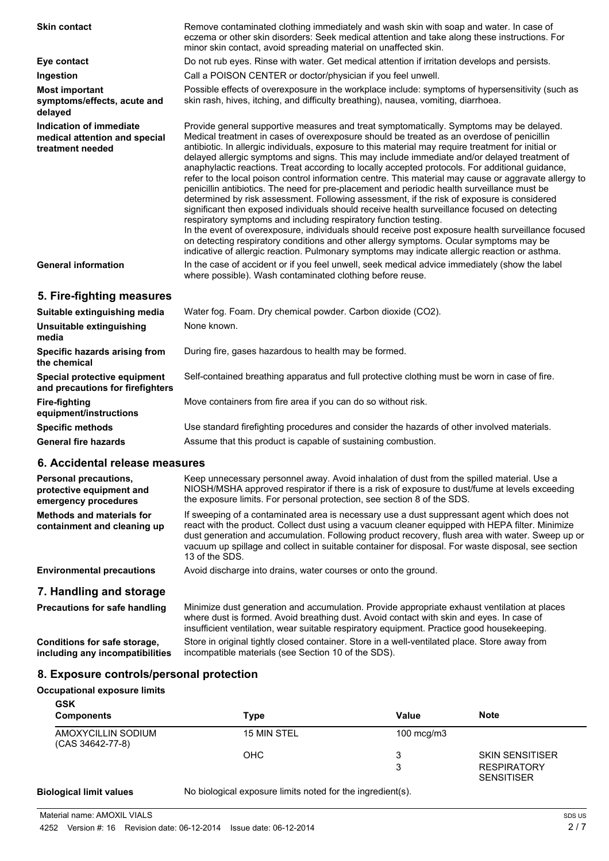| <b>Skin contact</b>                                                          | Remove contaminated clothing immediately and wash skin with soap and water. In case of<br>eczema or other skin disorders: Seek medical attention and take along these instructions. For<br>minor skin contact, avoid spreading material on unaffected skin.                                                                                                                                                                                                                                                                                                                                                                                                                                                                                                                                                                                                                                                                                                                                                                                                                                                                                                                                                                                                              |
|------------------------------------------------------------------------------|--------------------------------------------------------------------------------------------------------------------------------------------------------------------------------------------------------------------------------------------------------------------------------------------------------------------------------------------------------------------------------------------------------------------------------------------------------------------------------------------------------------------------------------------------------------------------------------------------------------------------------------------------------------------------------------------------------------------------------------------------------------------------------------------------------------------------------------------------------------------------------------------------------------------------------------------------------------------------------------------------------------------------------------------------------------------------------------------------------------------------------------------------------------------------------------------------------------------------------------------------------------------------|
| Eye contact                                                                  | Do not rub eyes. Rinse with water. Get medical attention if irritation develops and persists.                                                                                                                                                                                                                                                                                                                                                                                                                                                                                                                                                                                                                                                                                                                                                                                                                                                                                                                                                                                                                                                                                                                                                                            |
| Ingestion                                                                    | Call a POISON CENTER or doctor/physician if you feel unwell.                                                                                                                                                                                                                                                                                                                                                                                                                                                                                                                                                                                                                                                                                                                                                                                                                                                                                                                                                                                                                                                                                                                                                                                                             |
| <b>Most important</b><br>symptoms/effects, acute and<br>delayed              | Possible effects of overexposure in the workplace include: symptoms of hypersensitivity (such as<br>skin rash, hives, itching, and difficulty breathing), nausea, vomiting, diarrhoea.                                                                                                                                                                                                                                                                                                                                                                                                                                                                                                                                                                                                                                                                                                                                                                                                                                                                                                                                                                                                                                                                                   |
| Indication of immediate<br>medical attention and special<br>treatment needed | Provide general supportive measures and treat symptomatically. Symptoms may be delayed.<br>Medical treatment in cases of overexposure should be treated as an overdose of penicillin<br>antibiotic. In allergic individuals, exposure to this material may require treatment for initial or<br>delayed allergic symptoms and signs. This may include immediate and/or delayed treatment of<br>anaphylactic reactions. Treat according to locally accepted protocols. For additional guidance,<br>refer to the local poison control information centre. This material may cause or aggravate allergy to<br>penicillin antibiotics. The need for pre-placement and periodic health surveillance must be<br>determined by risk assessment. Following assessment, if the risk of exposure is considered<br>significant then exposed individuals should receive health surveillance focused on detecting<br>respiratory symptoms and including respiratory function testing.<br>In the event of overexposure, individuals should receive post exposure health surveillance focused<br>on detecting respiratory conditions and other allergy symptoms. Ocular symptoms may be<br>indicative of allergic reaction. Pulmonary symptoms may indicate allergic reaction or asthma. |
| <b>General information</b>                                                   | In the case of accident or if you feel unwell, seek medical advice immediately (show the label<br>where possible). Wash contaminated clothing before reuse.                                                                                                                                                                                                                                                                                                                                                                                                                                                                                                                                                                                                                                                                                                                                                                                                                                                                                                                                                                                                                                                                                                              |
| 5. Fire-fighting measures                                                    |                                                                                                                                                                                                                                                                                                                                                                                                                                                                                                                                                                                                                                                                                                                                                                                                                                                                                                                                                                                                                                                                                                                                                                                                                                                                          |
| Suitable extinguishing media                                                 | Water fog. Foam. Dry chemical powder. Carbon dioxide (CO2).                                                                                                                                                                                                                                                                                                                                                                                                                                                                                                                                                                                                                                                                                                                                                                                                                                                                                                                                                                                                                                                                                                                                                                                                              |
| Unsuitable extinguishing<br>media                                            | None known.                                                                                                                                                                                                                                                                                                                                                                                                                                                                                                                                                                                                                                                                                                                                                                                                                                                                                                                                                                                                                                                                                                                                                                                                                                                              |
| Specific hazards arising from<br>the chemical                                | During fire, gases hazardous to health may be formed.                                                                                                                                                                                                                                                                                                                                                                                                                                                                                                                                                                                                                                                                                                                                                                                                                                                                                                                                                                                                                                                                                                                                                                                                                    |
| Special protective equipment<br>and precautions for firefighters             | Self-contained breathing apparatus and full protective clothing must be worn in case of fire.                                                                                                                                                                                                                                                                                                                                                                                                                                                                                                                                                                                                                                                                                                                                                                                                                                                                                                                                                                                                                                                                                                                                                                            |
| <b>Fire-fighting</b><br>equipment/instructions                               | Move containers from fire area if you can do so without risk.                                                                                                                                                                                                                                                                                                                                                                                                                                                                                                                                                                                                                                                                                                                                                                                                                                                                                                                                                                                                                                                                                                                                                                                                            |
| <b>Specific methods</b>                                                      | Use standard firefighting procedures and consider the hazards of other involved materials.                                                                                                                                                                                                                                                                                                                                                                                                                                                                                                                                                                                                                                                                                                                                                                                                                                                                                                                                                                                                                                                                                                                                                                               |

**6. Accidental release measures**

| 6. Accidental release measures                                            |                                                                                                                                                                                                                                                                                                                                                                                                                            |  |  |
|---------------------------------------------------------------------------|----------------------------------------------------------------------------------------------------------------------------------------------------------------------------------------------------------------------------------------------------------------------------------------------------------------------------------------------------------------------------------------------------------------------------|--|--|
| Personal precautions,<br>protective equipment and<br>emergency procedures | Keep unnecessary personnel away. Avoid inhalation of dust from the spilled material. Use a<br>NIOSH/MSHA approved respirator if there is a risk of exposure to dust/fume at levels exceeding<br>the exposure limits. For personal protection, see section 8 of the SDS.                                                                                                                                                    |  |  |
| <b>Methods and materials for</b><br>containment and cleaning up           | If sweeping of a contaminated area is necessary use a dust suppressant agent which does not<br>react with the product. Collect dust using a vacuum cleaner equipped with HEPA filter. Minimize<br>dust generation and accumulation. Following product recovery, flush area with water. Sweep up or<br>vacuum up spillage and collect in suitable container for disposal. For waste disposal, see section<br>13 of the SDS. |  |  |
| <b>Environmental precautions</b>                                          | Avoid discharge into drains, water courses or onto the ground.                                                                                                                                                                                                                                                                                                                                                             |  |  |
| 7. Handling and storage                                                   |                                                                                                                                                                                                                                                                                                                                                                                                                            |  |  |
| Precautions for safe handling                                             | Minimize dust generation and accumulation. Provide appropriate exhaust ventilation at places<br>where dust is formed. Avoid breathing dust. Avoid contact with skin and eyes. In case of<br>insufficient ventilation, wear suitable respiratory equipment. Practice good housekeeping.                                                                                                                                     |  |  |
| Conditions for safe storage,<br>including any incompatibilities           | Store in original tightly closed container. Store in a well-ventilated place. Store away from<br>incompatible materials (see Section 10 of the SDS).                                                                                                                                                                                                                                                                       |  |  |

General fire hazards **Assume that this product is capable of sustaining combustion.** 

#### **8. Exposure controls/personal protection**

#### **Occupational exposure limits**

**GSK**

| אטט<br><b>Components</b>               | Type               | Value        | <b>Note</b>                             |
|----------------------------------------|--------------------|--------------|-----------------------------------------|
| AMOXYCILLIN SODIUM<br>(CAS 34642-77-8) | <b>15 MIN STEL</b> | 100 $mcg/m3$ |                                         |
|                                        | <b>OHC</b>         | 3            | <b>SKIN SENSITISER</b>                  |
|                                        |                    | 3            | <b>RESPIRATORY</b><br><b>SENSITISER</b> |

**Biological limit values** No biological exposure limits noted for the ingredient(s).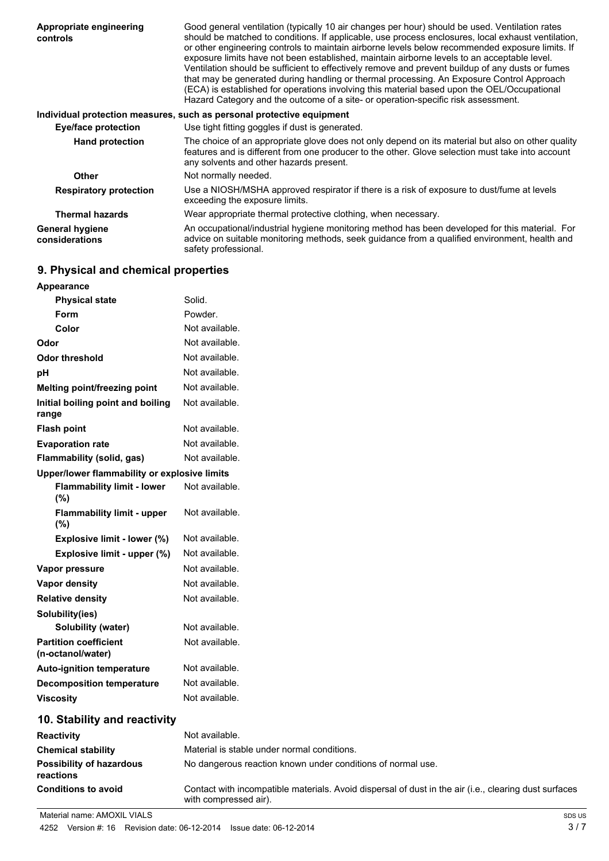| Appropriate engineering<br>controls      | Good general ventilation (typically 10 air changes per hour) should be used. Ventilation rates<br>should be matched to conditions. If applicable, use process enclosures, local exhaust ventilation,<br>or other engineering controls to maintain airborne levels below recommended exposure limits. If<br>exposure limits have not been established, maintain airborne levels to an acceptable level.<br>Ventilation should be sufficient to effectively remove and prevent buildup of any dusts or fumes<br>that may be generated during handling or thermal processing. An Exposure Control Approach<br>(ECA) is established for operations involving this material based upon the OEL/Occupational<br>Hazard Category and the outcome of a site- or operation-specific risk assessment. |
|------------------------------------------|---------------------------------------------------------------------------------------------------------------------------------------------------------------------------------------------------------------------------------------------------------------------------------------------------------------------------------------------------------------------------------------------------------------------------------------------------------------------------------------------------------------------------------------------------------------------------------------------------------------------------------------------------------------------------------------------------------------------------------------------------------------------------------------------|
|                                          | Individual protection measures, such as personal protective equipment                                                                                                                                                                                                                                                                                                                                                                                                                                                                                                                                                                                                                                                                                                                       |
| <b>Eye/face protection</b>               | Use tight fitting goggles if dust is generated.                                                                                                                                                                                                                                                                                                                                                                                                                                                                                                                                                                                                                                                                                                                                             |
| <b>Hand protection</b>                   | The choice of an appropriate glove does not only depend on its material but also on other quality<br>features and is different from one producer to the other. Glove selection must take into account<br>any solvents and other hazards present.                                                                                                                                                                                                                                                                                                                                                                                                                                                                                                                                            |
| Other                                    | Not normally needed.                                                                                                                                                                                                                                                                                                                                                                                                                                                                                                                                                                                                                                                                                                                                                                        |
| <b>Respiratory protection</b>            | Use a NIOSH/MSHA approved respirator if there is a risk of exposure to dust/fume at levels<br>exceeding the exposure limits.                                                                                                                                                                                                                                                                                                                                                                                                                                                                                                                                                                                                                                                                |
| <b>Thermal hazards</b>                   | Wear appropriate thermal protective clothing, when necessary.                                                                                                                                                                                                                                                                                                                                                                                                                                                                                                                                                                                                                                                                                                                               |
| <b>General hygiene</b><br>considerations | An occupational/industrial hygiene monitoring method has been developed for this material. For<br>advice on suitable monitoring methods, seek quidance from a qualified environment, health and<br>safety professional.                                                                                                                                                                                                                                                                                                                                                                                                                                                                                                                                                                     |

## **9. Physical and chemical properties**

| Appearance                                        |                                                                                                                                |
|---------------------------------------------------|--------------------------------------------------------------------------------------------------------------------------------|
| <b>Physical state</b>                             | Solid.                                                                                                                         |
| Form                                              | Powder.                                                                                                                        |
| Color                                             | Not available.                                                                                                                 |
| Odor                                              | Not available.                                                                                                                 |
| Odor threshold                                    | Not available.                                                                                                                 |
| рH                                                | Not available.                                                                                                                 |
| <b>Melting point/freezing point</b>               | Not available.                                                                                                                 |
| Initial boiling point and boiling<br>range        | Not available.                                                                                                                 |
| Flash point                                       | Not available.                                                                                                                 |
| <b>Evaporation rate</b>                           | Not available.                                                                                                                 |
| Flammability (solid, gas)                         | Not available.                                                                                                                 |
| Upper/lower flammability or explosive limits      |                                                                                                                                |
| <b>Flammability limit - lower</b><br>(%)          | Not available.                                                                                                                 |
| <b>Flammability limit - upper</b><br>(%)          | Not available.                                                                                                                 |
| Explosive limit - lower (%)                       | Not available.                                                                                                                 |
| Explosive limit - upper (%)                       | Not available.                                                                                                                 |
| Vapor pressure                                    | Not available.                                                                                                                 |
| Vapor density                                     | Not available.                                                                                                                 |
| <b>Relative density</b>                           | Not available.                                                                                                                 |
| Solubility(ies)                                   |                                                                                                                                |
| <b>Solubility (water)</b>                         | Not available.                                                                                                                 |
| <b>Partition coefficient</b><br>(n-octanol/water) | Not available.                                                                                                                 |
| <b>Auto-ignition temperature</b>                  | Not available.                                                                                                                 |
| <b>Decomposition temperature</b>                  | Not available.                                                                                                                 |
| <b>Viscosity</b>                                  | Not available.                                                                                                                 |
| 10. Stability and reactivity                      |                                                                                                                                |
| Reactivity                                        | Not available.                                                                                                                 |
| <b>Chemical stability</b>                         | Material is stable under normal conditions.                                                                                    |
| <b>Possibility of hazardous</b><br>reactions      | No dangerous reaction known under conditions of normal use.                                                                    |
| <b>Conditions to avoid</b>                        | Contact with incompatible materials. Avoid dispersal of dust in the air (i.e., clearing dust surfaces<br>with compressed air). |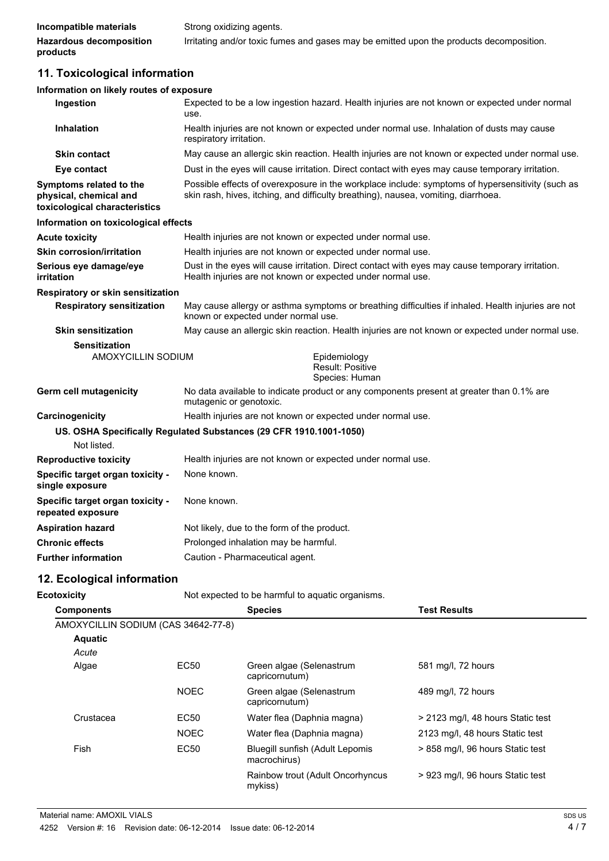| Incompatible materials         | Strong oxidizing agents.                                                                |
|--------------------------------|-----------------------------------------------------------------------------------------|
| <b>Hazardous decomposition</b> | Irritating and/or toxic fumes and gases may be emitted upon the products decomposition. |
| products                       |                                                                                         |

## **11. Toxicological information**

#### **Information on likely routes of exposure**

| Ingestion                                                                          | Expected to be a low ingestion hazard. Health injuries are not known or expected under normal<br>use.                                                                                  |  |  |
|------------------------------------------------------------------------------------|----------------------------------------------------------------------------------------------------------------------------------------------------------------------------------------|--|--|
| <b>Inhalation</b>                                                                  | Health injuries are not known or expected under normal use. Inhalation of dusts may cause<br>respiratory irritation.                                                                   |  |  |
| <b>Skin contact</b>                                                                | May cause an allergic skin reaction. Health injuries are not known or expected under normal use.                                                                                       |  |  |
| Eye contact                                                                        | Dust in the eyes will cause irritation. Direct contact with eyes may cause temporary irritation.                                                                                       |  |  |
| Symptoms related to the<br>physical, chemical and<br>toxicological characteristics | Possible effects of overexposure in the workplace include: symptoms of hypersensitivity (such as<br>skin rash, hives, itching, and difficulty breathing), nausea, vomiting, diarrhoea. |  |  |
| Information on toxicological effects                                               |                                                                                                                                                                                        |  |  |
| <b>Acute toxicity</b>                                                              | Health injuries are not known or expected under normal use.                                                                                                                            |  |  |
| <b>Skin corrosion/irritation</b>                                                   | Health injuries are not known or expected under normal use.                                                                                                                            |  |  |
| Serious eye damage/eye<br>irritation                                               | Dust in the eyes will cause irritation. Direct contact with eyes may cause temporary irritation.<br>Health injuries are not known or expected under normal use.                        |  |  |
| Respiratory or skin sensitization                                                  |                                                                                                                                                                                        |  |  |
| <b>Respiratory sensitization</b>                                                   | May cause allergy or asthma symptoms or breathing difficulties if inhaled. Health injuries are not<br>known or expected under normal use.                                              |  |  |
| <b>Skin sensitization</b>                                                          | May cause an allergic skin reaction. Health injuries are not known or expected under normal use.                                                                                       |  |  |
| <b>Sensitization</b><br>AMOXYCILLIN SODIUM                                         | Epidemiology<br>Result: Positive<br>Species: Human                                                                                                                                     |  |  |
| Germ cell mutagenicity                                                             | No data available to indicate product or any components present at greater than 0.1% are<br>mutagenic or genotoxic.                                                                    |  |  |
| Carcinogenicity                                                                    | Health injuries are not known or expected under normal use.                                                                                                                            |  |  |
|                                                                                    | US. OSHA Specifically Regulated Substances (29 CFR 1910.1001-1050)                                                                                                                     |  |  |
| Not listed.                                                                        |                                                                                                                                                                                        |  |  |
| <b>Reproductive toxicity</b>                                                       | Health injuries are not known or expected under normal use.                                                                                                                            |  |  |
| Specific target organ toxicity -<br>single exposure                                | None known.                                                                                                                                                                            |  |  |
| Specific target organ toxicity -<br>repeated exposure                              | None known.                                                                                                                                                                            |  |  |
| <b>Aspiration hazard</b>                                                           | Not likely, due to the form of the product.                                                                                                                                            |  |  |
| <b>Chronic effects</b>                                                             | Prolonged inhalation may be harmful.                                                                                                                                                   |  |  |
| <b>Further information</b>                                                         | Caution - Pharmaceutical agent.                                                                                                                                                        |  |  |

## **12. Ecological information**

**Ecotoxicity Not expected to be harmful to aquatic organisms.** 

| <b>Components</b>                   |                  | <b>Species</b>                                  | <b>Test Results</b>               |
|-------------------------------------|------------------|-------------------------------------------------|-----------------------------------|
| AMOXYCILLIN SODIUM (CAS 34642-77-8) |                  |                                                 |                                   |
| <b>Aquatic</b>                      |                  |                                                 |                                   |
| Acute                               |                  |                                                 |                                   |
| Algae                               | EC <sub>50</sub> | Green algae (Selenastrum<br>capricornutum)      | 581 mg/l, 72 hours                |
|                                     | <b>NOEC</b>      | Green algae (Selenastrum<br>capricornutum)      | 489 mg/l, 72 hours                |
| Crustacea                           | EC <sub>50</sub> | Water flea (Daphnia magna)                      | > 2123 mg/l, 48 hours Static test |
|                                     | <b>NOEC</b>      | Water flea (Daphnia magna)                      | 2123 mg/l, 48 hours Static test   |
| Fish                                | EC50             | Bluegill sunfish (Adult Lepomis<br>macrochirus) | > 858 mg/l, 96 hours Static test  |
|                                     |                  | Rainbow trout (Adult Oncorhyncus<br>mykiss)     | > 923 mg/l, 96 hours Static test  |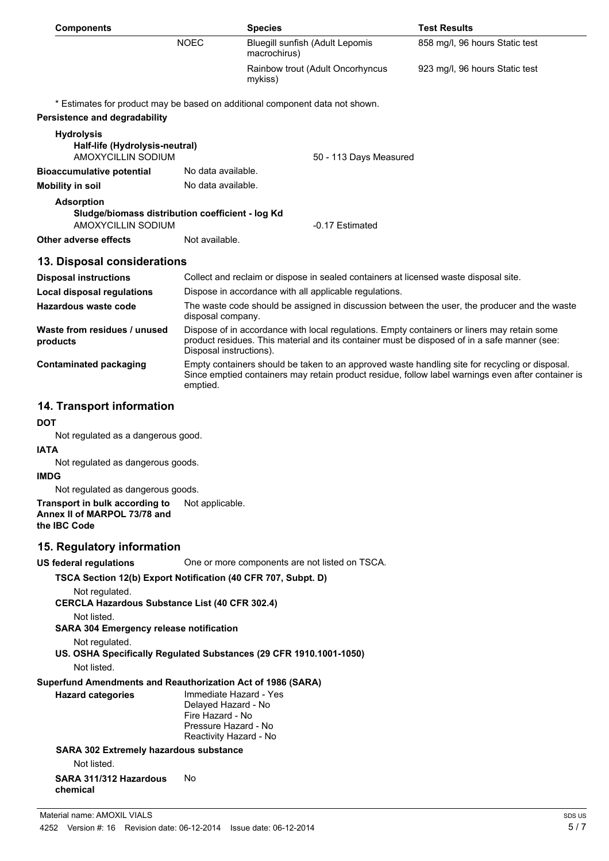| <b>Components</b>                                                                           |                                                                                                                   | <b>Species</b>                                                                                                                                                                              | <b>Test Results</b>                                                                                |
|---------------------------------------------------------------------------------------------|-------------------------------------------------------------------------------------------------------------------|---------------------------------------------------------------------------------------------------------------------------------------------------------------------------------------------|----------------------------------------------------------------------------------------------------|
|                                                                                             | <b>NOEC</b>                                                                                                       | <b>Bluegill sunfish (Adult Lepomis</b><br>macrochirus)                                                                                                                                      | 858 mg/l, 96 hours Static test                                                                     |
|                                                                                             |                                                                                                                   | Rainbow trout (Adult Oncorhyncus<br>mykiss)                                                                                                                                                 | 923 mg/l, 96 hours Static test                                                                     |
|                                                                                             |                                                                                                                   | * Estimates for product may be based on additional component data not shown.                                                                                                                |                                                                                                    |
| <b>Persistence and degradability</b>                                                        |                                                                                                                   |                                                                                                                                                                                             |                                                                                                    |
| <b>Hydrolysis</b><br>Half-life (Hydrolysis-neutral)<br>AMOXYCILLIN SODIUM                   |                                                                                                                   | 50 - 113 Days Measured                                                                                                                                                                      |                                                                                                    |
| <b>Bioaccumulative potential</b>                                                            | No data available.                                                                                                |                                                                                                                                                                                             |                                                                                                    |
| <b>Mobility in soil</b>                                                                     | No data available.                                                                                                |                                                                                                                                                                                             |                                                                                                    |
| <b>Adsorption</b><br>Sludge/biomass distribution coefficient - log Kd<br>AMOXYCILLIN SODIUM |                                                                                                                   | -0.17 Estimated                                                                                                                                                                             |                                                                                                    |
| Other adverse effects                                                                       | Not available.                                                                                                    |                                                                                                                                                                                             |                                                                                                    |
| 13. Disposal considerations                                                                 |                                                                                                                   |                                                                                                                                                                                             |                                                                                                    |
| <b>Disposal instructions</b>                                                                |                                                                                                                   | Collect and reclaim or dispose in sealed containers at licensed waste disposal site.                                                                                                        |                                                                                                    |
| <b>Local disposal regulations</b>                                                           |                                                                                                                   | Dispose in accordance with all applicable regulations.                                                                                                                                      |                                                                                                    |
| <b>Hazardous waste code</b>                                                                 | The waste code should be assigned in discussion between the user, the producer and the waste<br>disposal company. |                                                                                                                                                                                             |                                                                                                    |
| Waste from residues / unused<br>products                                                    | Disposal instructions).                                                                                           | Dispose of in accordance with local regulations. Empty containers or liners may retain some<br>product residues. This material and its container must be disposed of in a safe manner (see: |                                                                                                    |
| <b>Contaminated packaging</b>                                                               | emptied.                                                                                                          | Empty containers should be taken to an approved waste handling site for recycling or disposal.                                                                                              | Since emptied containers may retain product residue, follow label warnings even after container is |
| 14. Transport information                                                                   |                                                                                                                   |                                                                                                                                                                                             |                                                                                                    |

#### **DOT**

Not regulated as a dangerous good.

#### **IATA**

Not regulated as dangerous goods.

#### **IMDG**

Not regulated as dangerous goods.

**Transport in bulk according to** Not applicable. **Annex II of MARPOL 73/78 and the IBC Code**

#### **15. Regulatory information**

**US federal regulations** One or more components are not listed on TSCA.

#### **TSCA Section 12(b) Export Notification (40 CFR 707, Subpt. D)**

Not regulated.

**CERCLA Hazardous Substance List (40 CFR 302.4)**

Not listed.

**SARA 304 Emergency release notification**

Not regulated.

**US. OSHA Specifically Regulated Substances (29 CFR 1910.1001-1050)** Not listed.

#### **Superfund Amendments and Reauthorization Act of 1986 (SARA)**

**Hazard categories** Immediate Hazard - Yes Delayed Hazard - No Fire Hazard - No Pressure Hazard - No Reactivity Hazard - No

## **SARA 302 Extremely hazardous substance**

Not listed.

**SARA 311/312 Hazardous chemical** No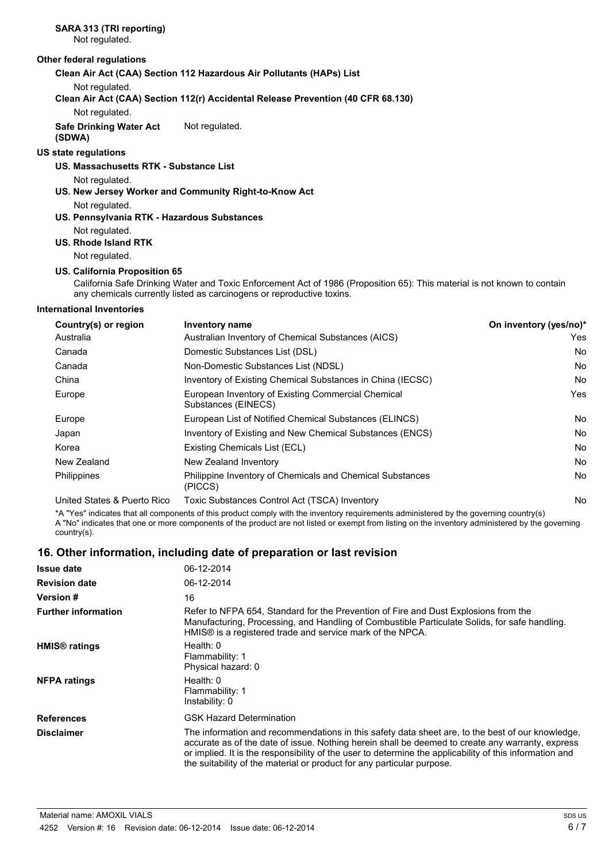### **SARA 313 (TRI reporting)**

Not regulated.

#### **Other federal regulations**

**Clean Air Act (CAA) Section 112 Hazardous Air Pollutants (HAPs) List**

Not regulated.

**Clean Air Act (CAA) Section 112(r) Accidental Release Prevention (40 CFR 68.130)**

Not regulated.

#### **Safe Drinking Water Act** Not regulated.

#### **(SDWA)**

#### **US state regulations**

#### **US. Massachusetts RTK - Substance List**

Not regulated.

#### **US. New Jersey Worker and Community Right-to-Know Act**

Not regulated.

#### **US. Pennsylvania RTK - Hazardous Substances**

### Not regulated.

**US. Rhode Island RTK**

Not regulated.

#### **US. California Proposition 65**

California Safe Drinking Water and Toxic Enforcement Act of 1986 (Proposition 65): This material is not known to contain any chemicals currently listed as carcinogens or reproductive toxins.

#### **International Inventories**

| Country(s) or region        | <b>Inventory name</b>                                                     | On inventory (yes/no)* |
|-----------------------------|---------------------------------------------------------------------------|------------------------|
| Australia                   | Australian Inventory of Chemical Substances (AICS)                        | Yes                    |
| Canada                      | Domestic Substances List (DSL)                                            | No                     |
| Canada                      | Non-Domestic Substances List (NDSL)                                       | No                     |
| China                       | Inventory of Existing Chemical Substances in China (IECSC)                | No                     |
| Europe                      | European Inventory of Existing Commercial Chemical<br>Substances (EINECS) | Yes                    |
| Europe                      | European List of Notified Chemical Substances (ELINCS)                    | No                     |
| Japan                       | Inventory of Existing and New Chemical Substances (ENCS)                  | No                     |
| Korea                       | Existing Chemicals List (ECL)                                             | No                     |
| New Zealand                 | New Zealand Inventory                                                     | No                     |
| <b>Philippines</b>          | Philippine Inventory of Chemicals and Chemical Substances<br>(PICCS)      | No                     |
| United States & Puerto Rico | Toxic Substances Control Act (TSCA) Inventory                             | No                     |

\*A "Yes" indicates that all components of this product comply with the inventory requirements administered by the governing country(s) A "No" indicates that one or more components of the product are not listed or exempt from listing on the inventory administered by the governing country(s).

#### **16. Other information, including date of preparation or last revision**

| <b>Issue date</b>               | 06-12-2014                                                                                                                                                                                                                                                                                                                                                                                |
|---------------------------------|-------------------------------------------------------------------------------------------------------------------------------------------------------------------------------------------------------------------------------------------------------------------------------------------------------------------------------------------------------------------------------------------|
| <b>Revision date</b>            | 06-12-2014                                                                                                                                                                                                                                                                                                                                                                                |
| <b>Version #</b>                | 16                                                                                                                                                                                                                                                                                                                                                                                        |
| <b>Further information</b>      | Refer to NFPA 654, Standard for the Prevention of Fire and Dust Explosions from the<br>Manufacturing, Processing, and Handling of Combustible Particulate Solids, for safe handling.<br>HMIS® is a registered trade and service mark of the NPCA.                                                                                                                                         |
| <b>HMIS<sup>®</sup></b> ratings | Health: $0$<br>Flammability: 1<br>Physical hazard: 0                                                                                                                                                                                                                                                                                                                                      |
| <b>NFPA ratings</b>             | Health: $0$<br>Flammability: 1<br>Instability: 0                                                                                                                                                                                                                                                                                                                                          |
| <b>References</b>               | <b>GSK Hazard Determination</b>                                                                                                                                                                                                                                                                                                                                                           |
| <b>Disclaimer</b>               | The information and recommendations in this safety data sheet are, to the best of our knowledge,<br>accurate as of the date of issue. Nothing herein shall be deemed to create any warranty, express<br>or implied. It is the responsibility of the user to determine the applicability of this information and<br>the suitability of the material or product for any particular purpose. |